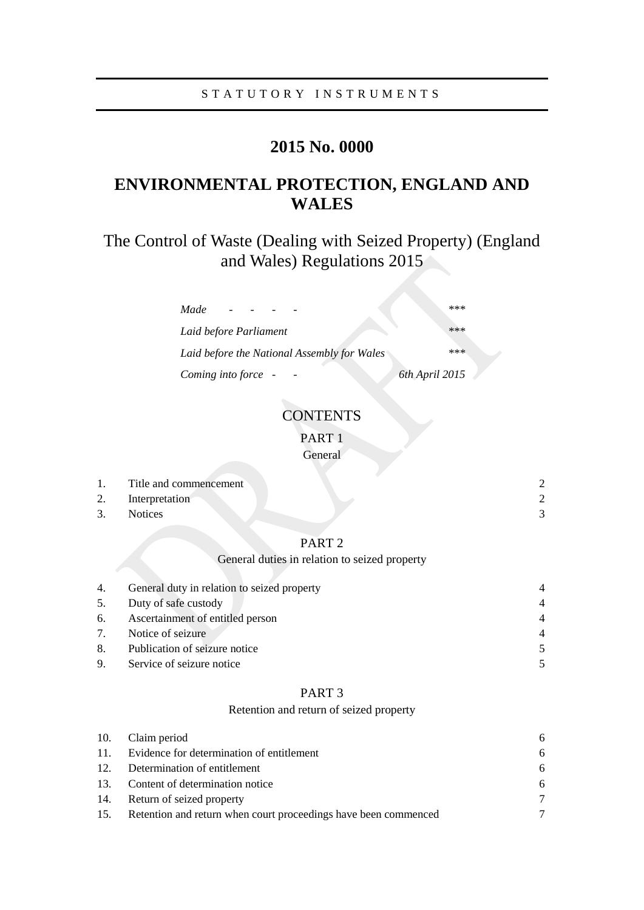# **2015 No. 0000**

# **ENVIRONMENTAL PROTECTION, ENGLAND AND WALES**

The Control of Waste (Dealing with Seized Property) (England and Wales) Regulations 2015

| Made                                        | *** |
|---------------------------------------------|-----|
| Laid before Parliament                      | *** |
| Laid before the National Assembly for Wales | *** |
| 6th April 2015<br>Coming into force -       |     |

## **CONTENTS**

PART 1

General

| $\overline{1}$ . | Title and commencement |  |
|------------------|------------------------|--|
| 2.               | Interpretation         |  |
| 3.               | <b>Notices</b>         |  |
|                  |                        |  |

## PART 2

## General duties in relation to seized property

| 4. | General duty in relation to seized property | $\overline{4}$ |
|----|---------------------------------------------|----------------|
| 5. | Duty of safe custody                        | $\overline{4}$ |
|    | 6. Ascertainment of entitled person         | 4              |
|    | 7. Notice of seizure                        | $\overline{4}$ |
|    | 8. Publication of seizure notice            | $\overline{5}$ |
|    | 9. Service of seizure notice                |                |

## PART 3

### Retention and return of seized property

| 10. | Claim period                                                        | 6 |
|-----|---------------------------------------------------------------------|---|
|     | 11. Evidence for determination of entitlement                       | 6 |
|     | 12. Determination of entitlement                                    | 6 |
|     | 13. Content of determination notice                                 | 6 |
|     | 14. Return of seized property                                       | 7 |
|     | 15. Retention and return when court proceedings have been commenced | 7 |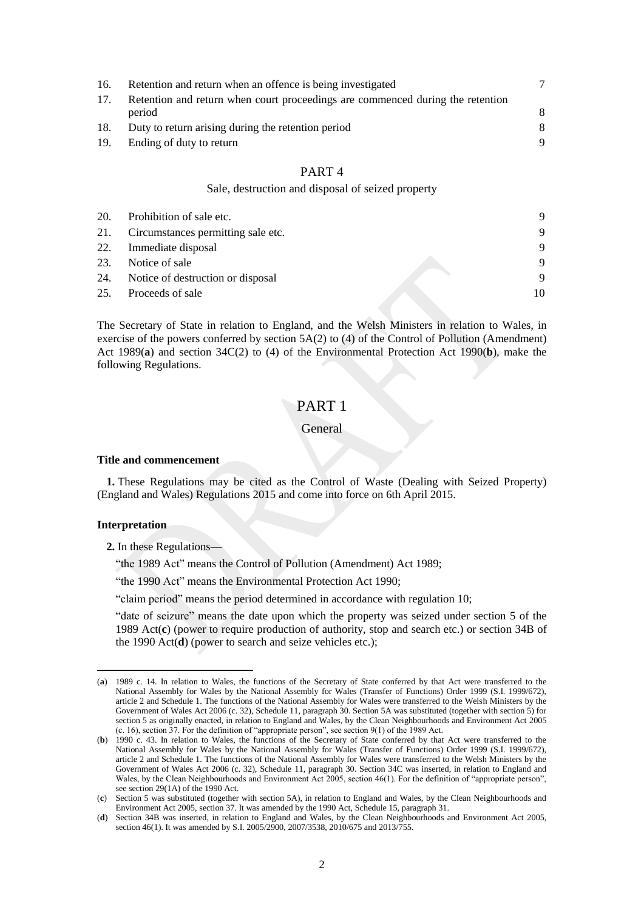| 16. | Retention and return when an offence is being investigated                     |   |
|-----|--------------------------------------------------------------------------------|---|
| 17. | Retention and return when court proceedings are commenced during the retention |   |
|     | period                                                                         | 8 |
| 18. | Duty to return arising during the retention period                             | 8 |
| 19. | Ending of duty to return                                                       | 9 |
|     |                                                                                |   |

## PART 4

#### Sale, destruction and disposal of seized property

| 20. | Prohibition of sale etc.           | 9        |
|-----|------------------------------------|----------|
| 21. | Circumstances permitting sale etc. | 9        |
|     | 22. Immediate disposal             | 9        |
| 23. | Notice of sale                     | -9       |
| 24. | Notice of destruction or disposal  | <b>Q</b> |
| 25. | Proceeds of sale                   | 10       |

The Secretary of State in relation to England, and the Welsh Ministers in relation to Wales, in exercise of the powers conferred by section 5A(2) to (4) of the Control of Pollution (Amendment) Act 1989(**a**) and section 34C(2) to (4) of the Environmental Protection Act 1990(**b**), make the following Regulations.

## PART 1

#### General

#### <span id="page-1-0"></span>**Title and commencement**

**1.** These Regulations may be cited as the Control of Waste (Dealing with Seized Property) (England and Wales) Regulations 2015 and come into force on 6th April 2015.

#### <span id="page-1-1"></span>**Interpretation**

 $\overline{a}$ 

- **2.** In these Regulations—
	- "the 1989 Act" means the Control of Pollution (Amendment) Act 1989;

"the 1990 Act" means the Environmental Protection Act 1990;

"claim period" means the period determined in accordance with regulation 10;

"date of seizure" means the date upon which the property was seized under section 5 of the 1989 Act(**c**) (power to require production of authority, stop and search etc.) or section 34B of the 1990 Act(**d**) (power to search and seize vehicles etc.);

<sup>(</sup>**a**) 1989 c. 14. In relation to Wales, the functions of the Secretary of State conferred by that Act were transferred to the National Assembly for Wales by the National Assembly for Wales (Transfer of Functions) Order 1999 (S.I. 1999/672), article 2 and Schedule 1. The functions of the National Assembly for Wales were transferred to the Welsh Ministers by the Government of Wales Act 2006 (c. 32), Schedule 11, paragraph 30. Section 5A was substituted (together with section 5) for section 5 as originally enacted, in relation to England and Wales, by the Clean Neighbourhoods and Environment Act 2005 (c. 16), section 37. For the definition of "appropriate person", see section 9(1) of the 1989 Act.

<sup>(</sup>**b**) 1990 c. 43. In relation to Wales, the functions of the Secretary of State conferred by that Act were transferred to the National Assembly for Wales by the National Assembly for Wales (Transfer of Functions) Order 1999 (S.I. 1999/672), article 2 and Schedule 1. The functions of the National Assembly for Wales were transferred to the Welsh Ministers by the Government of Wales Act 2006 (c. 32), Schedule 11, paragraph 30. Section 34C was inserted, in relation to England and Wales, by the Clean Neighbourhoods and Environment Act 2005, section 46(1). For the definition of "appropriate person", see section 29(1A) of the 1990 Act.

<sup>(</sup>**c**) Section 5 was substituted (together with section 5A), in relation to England and Wales, by the Clean Neighbourhoods and Environment Act 2005, section 37. It was amended by the 1990 Act, Schedule 15, paragraph 31.

<sup>(</sup>**d**) Section 34B was inserted, in relation to England and Wales, by the Clean Neighbourhoods and Environment Act 2005, section 46(1). It was amended by S.I. 2005/2900, 2007/3538, 2010/675 and 2013/755.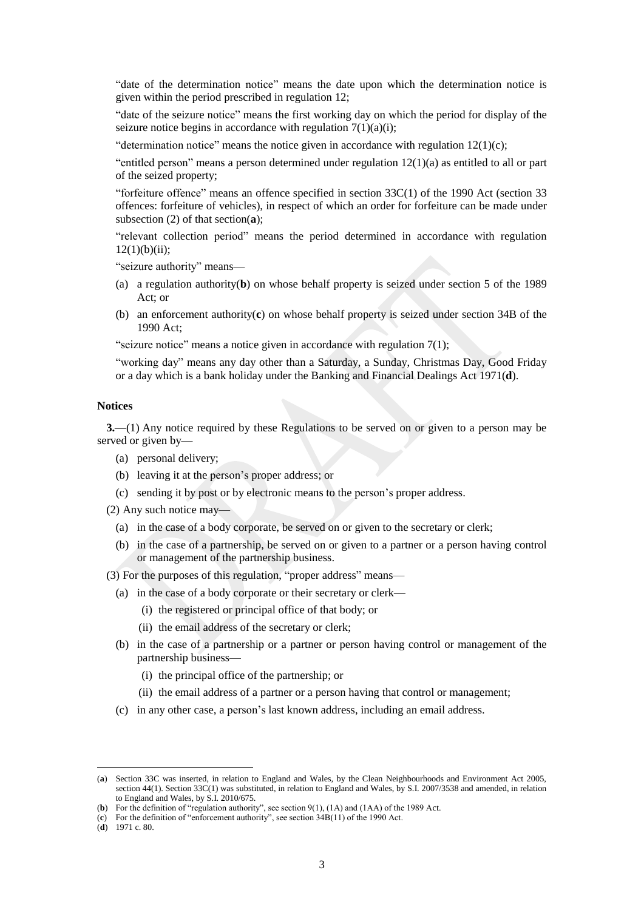"date of the determination notice" means the date upon which the determination notice is given within the period prescribed in regulation 12;

"date of the seizure notice" means the first working day on which the period for display of the seizure notice begins in accordance with regulation  $7(1)(a)(i)$ ;

"determination notice" means the notice given in accordance with regulation  $12(1)(c)$ ;

"entitled person" means a person determined under regulation  $12(1)(a)$  as entitled to all or part of the seized property;

"forfeiture offence" means an offence specified in section  $33C(1)$  of the 1990 Act (section 33 offences: forfeiture of vehicles), in respect of which an order for forfeiture can be made under subsection (2) of that section(**a**);

"relevant collection period" means the period determined in accordance with regulation  $12(1)(b)(ii)$ ;

"seizure authority" means—

- (a) a regulation authority(**b**) on whose behalf property is seized under section 5 of the 1989 Act; or
- (b) an enforcement authority(**c**) on whose behalf property is seized under section 34B of the 1990 Act;

"seizure notice" means a notice given in accordance with regulation 7(1);

"working day" means any day other than a Saturday, a Sunday, Christmas Day, Good Friday or a day which is a bank holiday under the Banking and Financial Dealings Act 1971(**d**).

#### <span id="page-2-0"></span>**Notices**

**3.**—(1) Any notice required by these Regulations to be served on or given to a person may be served or given by—

- (a) personal delivery;
- (b) leaving it at the person's proper address; or
- (c) sending it by post or by electronic means to the person's proper address.
- (2) Any such notice may—
	- (a) in the case of a body corporate, be served on or given to the secretary or clerk;
	- (b) in the case of a partnership, be served on or given to a partner or a person having control or management of the partnership business.

(3) For the purposes of this regulation, "proper address" means—

- (a) in the case of a body corporate or their secretary or clerk—
	- (i) the registered or principal office of that body; or
	- (ii) the email address of the secretary or clerk;
- (b) in the case of a partnership or a partner or person having control or management of the partnership business—
	- (i) the principal office of the partnership; or
	- (ii) the email address of a partner or a person having that control or management;
- (c) in any other case, a person's last known address, including an email address.

 $\overline{a}$ 

<sup>(</sup>**a**) Section 33C was inserted, in relation to England and Wales, by the Clean Neighbourhoods and Environment Act 2005, section 44(1). Section 33C(1) was substituted, in relation to England and Wales, by S.I. 2007/3538 and amended, in relation to England and Wales, by S.I. 2010/675.

<sup>(</sup>**b**) For the definition of "regulation authority", see section 9(1), (1A) and (1AA) of the 1989 Act.

<sup>(</sup>**c**) For the definition of "enforcement authority", see section 34B(11) of the 1990 Act.

<sup>(</sup>**d**) 1971 c. 80.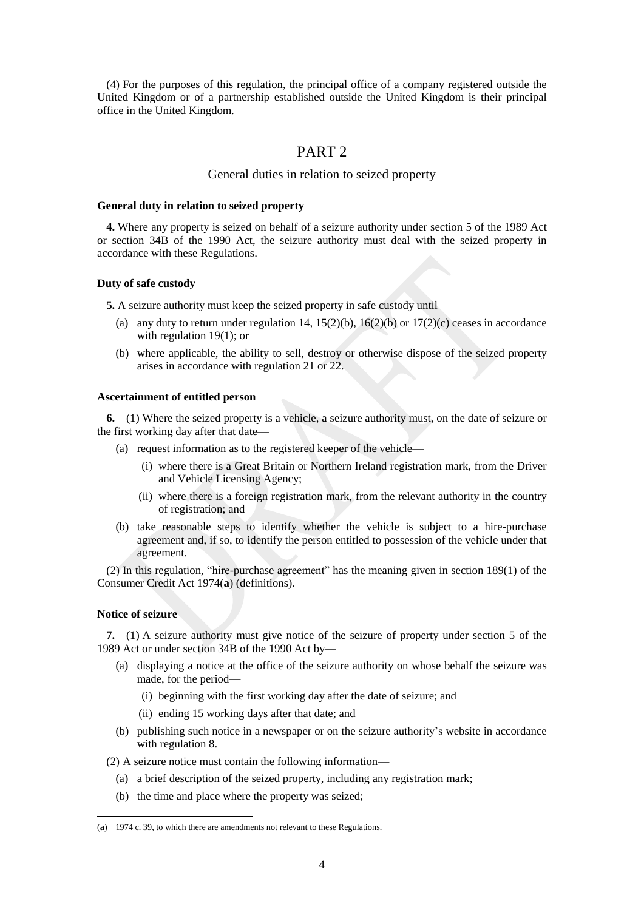(4) For the purposes of this regulation, the principal office of a company registered outside the United Kingdom or of a partnership established outside the United Kingdom is their principal office in the United Kingdom.

## PART 2

### General duties in relation to seized property

#### <span id="page-3-0"></span>**General duty in relation to seized property**

**4.** Where any property is seized on behalf of a seizure authority under section 5 of the 1989 Act or section 34B of the 1990 Act, the seizure authority must deal with the seized property in accordance with these Regulations.

#### <span id="page-3-1"></span>**Duty of safe custody**

**5.** A seizure authority must keep the seized property in safe custody until—

- (a) any duty to return under regulation 14,  $15(2)(b)$ ,  $16(2)(b)$  or  $17(2)(c)$  ceases in accordance with regulation 19(1); or
- (b) where applicable, the ability to sell, destroy or otherwise dispose of the seized property arises in accordance with regulation 21 or 22.

#### <span id="page-3-2"></span>**Ascertainment of entitled person**

**6.**—(1) Where the seized property is a vehicle, a seizure authority must, on the date of seizure or the first working day after that date—

- (a) request information as to the registered keeper of the vehicle—
	- (i) where there is a Great Britain or Northern Ireland registration mark, from the Driver and Vehicle Licensing Agency;
	- (ii) where there is a foreign registration mark, from the relevant authority in the country of registration; and
- (b) take reasonable steps to identify whether the vehicle is subject to a hire-purchase agreement and, if so, to identify the person entitled to possession of the vehicle under that agreement.

(2) In this regulation, "hire-purchase agreement" has the meaning given in section 189(1) of the Consumer Credit Act 1974(**a**) (definitions).

#### <span id="page-3-3"></span>**Notice of seizure**

 $\overline{a}$ 

**7.**—(1) A seizure authority must give notice of the seizure of property under section 5 of the 1989 Act or under section 34B of the 1990 Act by—

- (a) displaying a notice at the office of the seizure authority on whose behalf the seizure was made, for the period—
	- (i) beginning with the first working day after the date of seizure; and
	- (ii) ending 15 working days after that date; and
- (b) publishing such notice in a newspaper or on the seizure authority's website in accordance with regulation 8.

(2) A seizure notice must contain the following information—

- (a) a brief description of the seized property, including any registration mark;
- (b) the time and place where the property was seized;

<sup>(</sup>**a**) 1974 c. 39, to which there are amendments not relevant to these Regulations.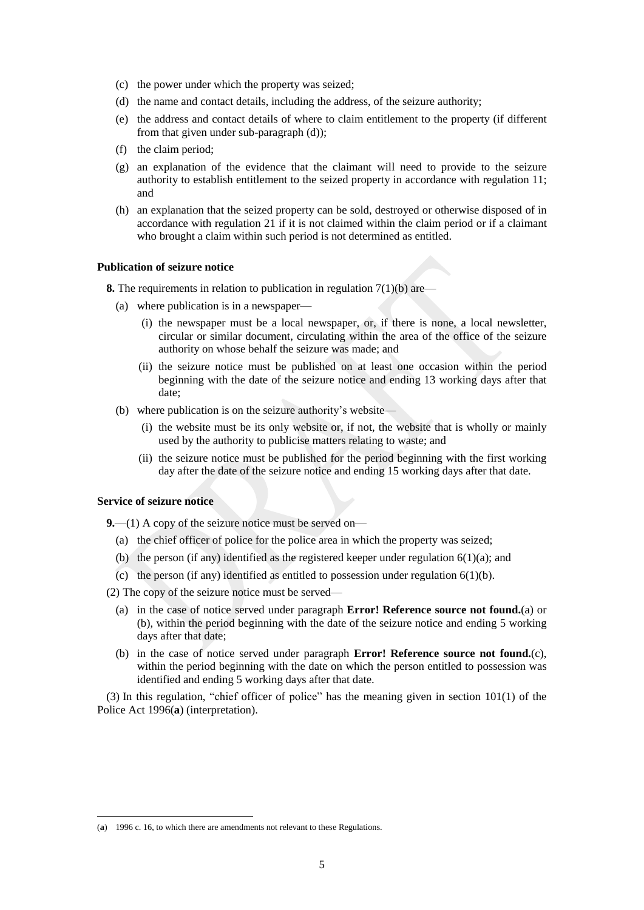- (c) the power under which the property was seized;
- (d) the name and contact details, including the address, of the seizure authority;
- (e) the address and contact details of where to claim entitlement to the property (if different from that given under sub-paragraph (d));
- (f) the claim period;
- (g) an explanation of the evidence that the claimant will need to provide to the seizure authority to establish entitlement to the seized property in accordance with regulation 11; and
- (h) an explanation that the seized property can be sold, destroyed or otherwise disposed of in accordance with regulation 21 if it is not claimed within the claim period or if a claimant who brought a claim within such period is not determined as entitled.

#### <span id="page-4-0"></span>**Publication of seizure notice**

**8.** The requirements in relation to publication in regulation 7(1)(b) are—

- (a) where publication is in a newspaper—
	- (i) the newspaper must be a local newspaper, or, if there is none, a local newsletter, circular or similar document, circulating within the area of the office of the seizure authority on whose behalf the seizure was made; and
	- (ii) the seizure notice must be published on at least one occasion within the period beginning with the date of the seizure notice and ending 13 working days after that date;
- (b) where publication is on the seizure authority's website—
	- (i) the website must be its only website or, if not, the website that is wholly or mainly used by the authority to publicise matters relating to waste; and
	- (ii) the seizure notice must be published for the period beginning with the first working day after the date of the seizure notice and ending 15 working days after that date.

#### <span id="page-4-1"></span>**Service of seizure notice**

 $\overline{a}$ 

**9.**—(1) A copy of the seizure notice must be served on—

- (a) the chief officer of police for the police area in which the property was seized;
- (b) the person (if any) identified as the registered keeper under regulation  $6(1)(a)$ ; and
- (c) the person (if any) identified as entitled to possession under regulation  $6(1)(b)$ .

(2) The copy of the seizure notice must be served—

- (a) in the case of notice served under paragraph **Error! Reference source not found.**(a) or (b), within the period beginning with the date of the seizure notice and ending 5 working days after that date;
- (b) in the case of notice served under paragraph **Error! Reference source not found.**(c), within the period beginning with the date on which the person entitled to possession was identified and ending 5 working days after that date.

(3) In this regulation, "chief officer of police" has the meaning given in section 101(1) of the Police Act 1996(**a**) (interpretation).

<sup>(</sup>**a**) 1996 c. 16, to which there are amendments not relevant to these Regulations.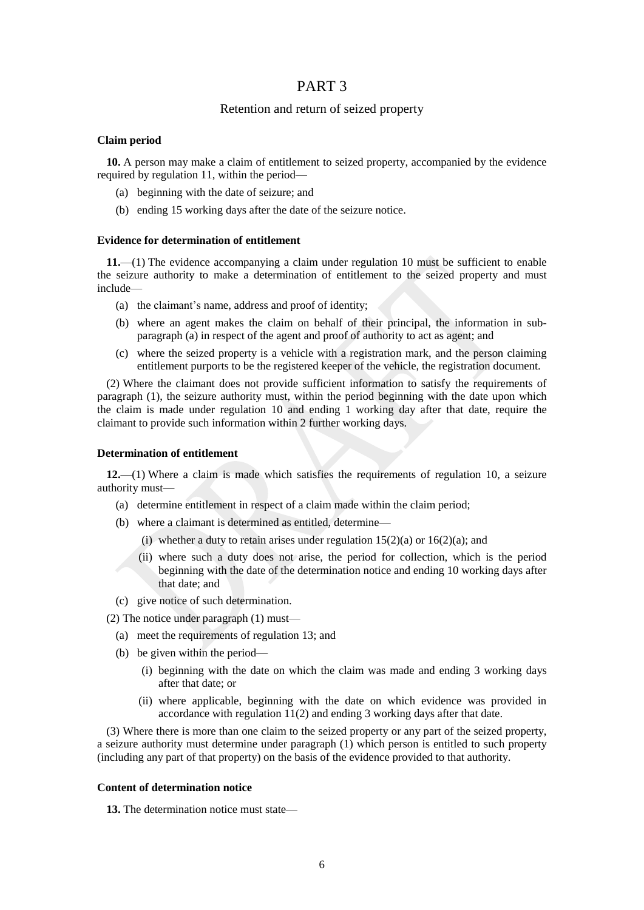## PART 3

## Retention and return of seized property

#### <span id="page-5-0"></span>**Claim period**

**10.** A person may make a claim of entitlement to seized property, accompanied by the evidence required by regulation 11, within the period—

- (a) beginning with the date of seizure; and
- (b) ending 15 working days after the date of the seizure notice.

#### <span id="page-5-1"></span>**Evidence for determination of entitlement**

**11.**—(1) The evidence accompanying a claim under regulation 10 must be sufficient to enable the seizure authority to make a determination of entitlement to the seized property and must include—

- (a) the claimant's name, address and proof of identity;
- (b) where an agent makes the claim on behalf of their principal, the information in subparagraph (a) in respect of the agent and proof of authority to act as agent; and
- (c) where the seized property is a vehicle with a registration mark, and the person claiming entitlement purports to be the registered keeper of the vehicle, the registration document.

(2) Where the claimant does not provide sufficient information to satisfy the requirements of paragraph (1), the seizure authority must, within the period beginning with the date upon which the claim is made under regulation 10 and ending 1 working day after that date, require the claimant to provide such information within 2 further working days.

#### <span id="page-5-2"></span>**Determination of entitlement**

**12.**—(1) Where a claim is made which satisfies the requirements of regulation 10, a seizure authority must—

- (a) determine entitlement in respect of a claim made within the claim period;
- (b) where a claimant is determined as entitled, determine—
	- (i) whether a duty to retain arises under regulation  $15(2)(a)$  or  $16(2)(a)$ ; and
	- (ii) where such a duty does not arise, the period for collection, which is the period beginning with the date of the determination notice and ending 10 working days after that date; and
- (c) give notice of such determination.

(2) The notice under paragraph (1) must—

- (a) meet the requirements of regulation 13; and
- (b) be given within the period—
	- (i) beginning with the date on which the claim was made and ending 3 working days after that date; or
	- (ii) where applicable, beginning with the date on which evidence was provided in accordance with regulation 11(2) and ending 3 working days after that date.

(3) Where there is more than one claim to the seized property or any part of the seized property, a seizure authority must determine under paragraph (1) which person is entitled to such property (including any part of that property) on the basis of the evidence provided to that authority.

#### <span id="page-5-3"></span>**Content of determination notice**

**13.** The determination notice must state—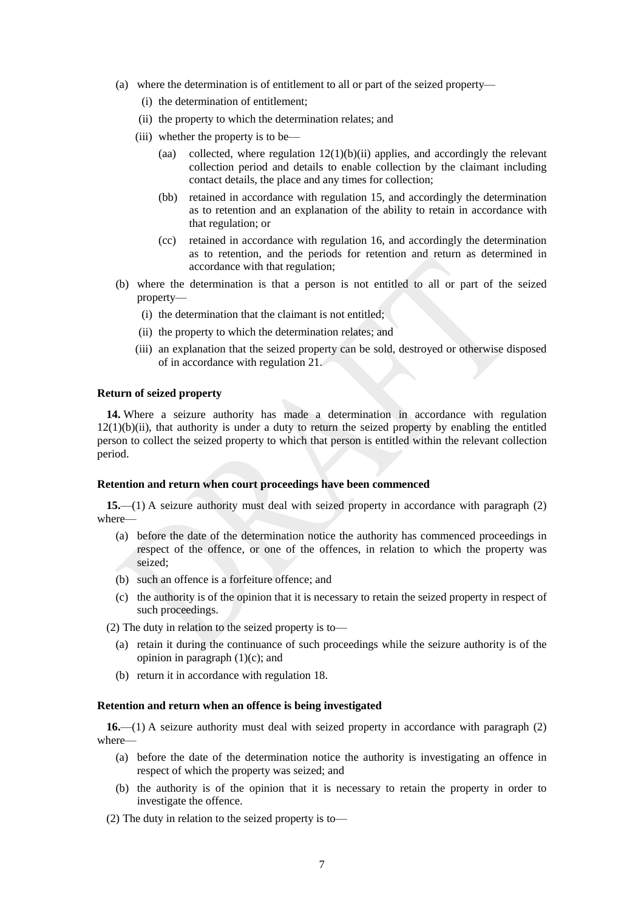- (a) where the determination is of entitlement to all or part of the seized property—
	- (i) the determination of entitlement;
	- (ii) the property to which the determination relates; and
	- (iii) whether the property is to be—
		- (aa) collected, where regulation 12(1)(b)(ii) applies, and accordingly the relevant collection period and details to enable collection by the claimant including contact details, the place and any times for collection;
		- (bb) retained in accordance with regulation 15, and accordingly the determination as to retention and an explanation of the ability to retain in accordance with that regulation; or
		- (cc) retained in accordance with regulation 16, and accordingly the determination as to retention, and the periods for retention and return as determined in accordance with that regulation;
- (b) where the determination is that a person is not entitled to all or part of the seized property—
	- (i) the determination that the claimant is not entitled;
	- (ii) the property to which the determination relates; and
	- (iii) an explanation that the seized property can be sold, destroyed or otherwise disposed of in accordance with regulation 21.

#### <span id="page-6-0"></span>**Return of seized property**

**14.** Where a seizure authority has made a determination in accordance with regulation  $12(1)(b)(ii)$ , that authority is under a duty to return the seized property by enabling the entitled person to collect the seized property to which that person is entitled within the relevant collection period.

#### <span id="page-6-1"></span>**Retention and return when court proceedings have been commenced**

**15.**—(1) A seizure authority must deal with seized property in accordance with paragraph (2) where—

- (a) before the date of the determination notice the authority has commenced proceedings in respect of the offence, or one of the offences, in relation to which the property was seized;
- (b) such an offence is a forfeiture offence; and
- (c) the authority is of the opinion that it is necessary to retain the seized property in respect of such proceedings.
- (2) The duty in relation to the seized property is to—
	- (a) retain it during the continuance of such proceedings while the seizure authority is of the opinion in paragraph  $(1)(c)$ ; and
	- (b) return it in accordance with regulation 18.

#### <span id="page-6-2"></span>**Retention and return when an offence is being investigated**

**16.**—(1) A seizure authority must deal with seized property in accordance with paragraph (2) where—

- (a) before the date of the determination notice the authority is investigating an offence in respect of which the property was seized; and
- (b) the authority is of the opinion that it is necessary to retain the property in order to investigate the offence.
- (2) The duty in relation to the seized property is to—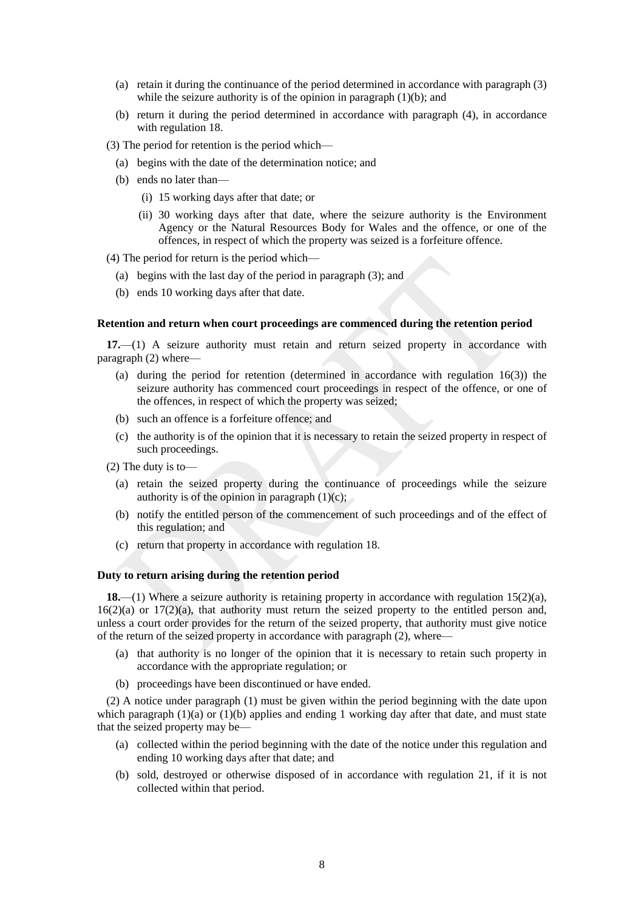- (a) retain it during the continuance of the period determined in accordance with paragraph (3) while the seizure authority is of the opinion in paragraph  $(1)(b)$ ; and
- (b) return it during the period determined in accordance with paragraph (4), in accordance with regulation 18.
- (3) The period for retention is the period which—
	- (a) begins with the date of the determination notice; and
	- (b) ends no later than—
		- (i) 15 working days after that date; or
		- (ii) 30 working days after that date, where the seizure authority is the Environment Agency or the Natural Resources Body for Wales and the offence, or one of the offences, in respect of which the property was seized is a forfeiture offence.
- (4) The period for return is the period which—
	- (a) begins with the last day of the period in paragraph (3); and
	- (b) ends 10 working days after that date.

#### <span id="page-7-0"></span>**Retention and return when court proceedings are commenced during the retention period**

**17.**—(1) A seizure authority must retain and return seized property in accordance with paragraph (2) where—

- (a) during the period for retention (determined in accordance with regulation 16(3)) the seizure authority has commenced court proceedings in respect of the offence, or one of the offences, in respect of which the property was seized;
- (b) such an offence is a forfeiture offence; and
- (c) the authority is of the opinion that it is necessary to retain the seized property in respect of such proceedings.
- (2) The duty is to—
	- (a) retain the seized property during the continuance of proceedings while the seizure authority is of the opinion in paragraph  $(1)(c)$ ;
	- (b) notify the entitled person of the commencement of such proceedings and of the effect of this regulation; and
	- (c) return that property in accordance with regulation 18.

#### <span id="page-7-1"></span>**Duty to return arising during the retention period**

**18.**—(1) Where a seizure authority is retaining property in accordance with regulation 15(2)(a),  $16(2)(a)$  or  $17(2)(a)$ , that authority must return the seized property to the entitled person and, unless a court order provides for the return of the seized property, that authority must give notice of the return of the seized property in accordance with paragraph (2), where—

- (a) that authority is no longer of the opinion that it is necessary to retain such property in accordance with the appropriate regulation; or
- (b) proceedings have been discontinued or have ended.

(2) A notice under paragraph (1) must be given within the period beginning with the date upon which paragraph  $(1)(a)$  or  $(1)(b)$  applies and ending 1 working day after that date, and must state that the seized property may be—

- (a) collected within the period beginning with the date of the notice under this regulation and ending 10 working days after that date; and
- (b) sold, destroyed or otherwise disposed of in accordance with regulation 21, if it is not collected within that period.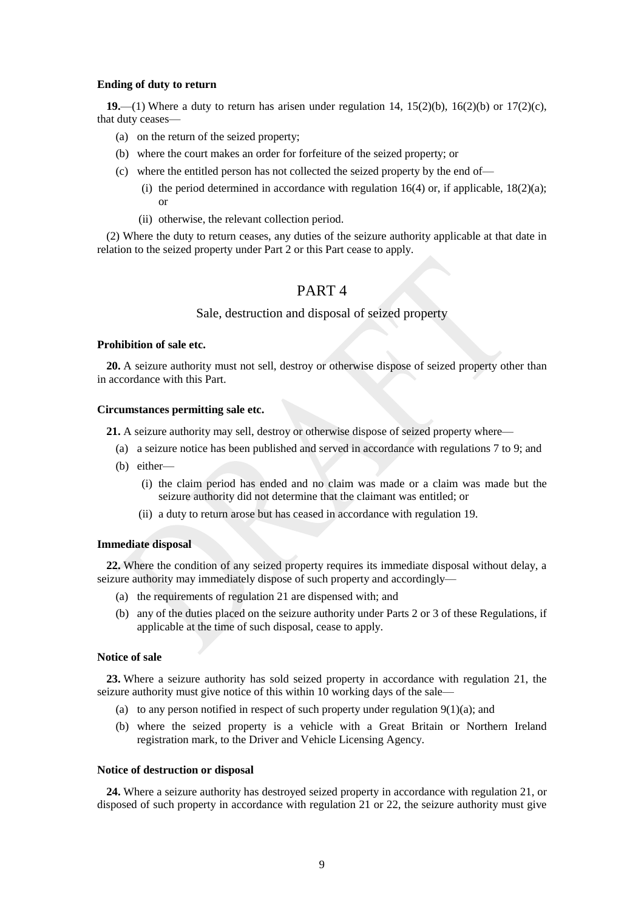#### <span id="page-8-0"></span>**Ending of duty to return**

**19.**—(1) Where a duty to return has arisen under regulation 14, 15(2)(b), 16(2)(b) or 17(2)(c), that duty ceases—

- (a) on the return of the seized property;
- (b) where the court makes an order for forfeiture of the seized property; or
- (c) where the entitled person has not collected the seized property by the end of—
	- (i) the period determined in accordance with regulation 16(4) or, if applicable,  $18(2)(a)$ ; or
	- (ii) otherwise, the relevant collection period.

(2) Where the duty to return ceases, any duties of the seizure authority applicable at that date in relation to the seized property under Part 2 or this Part cease to apply.

## PART 4

## Sale, destruction and disposal of seized property

#### <span id="page-8-1"></span>**Prohibition of sale etc.**

**20.** A seizure authority must not sell, destroy or otherwise dispose of seized property other than in accordance with this Part.

#### <span id="page-8-2"></span>**Circumstances permitting sale etc.**

**21.** A seizure authority may sell, destroy or otherwise dispose of seized property where—

- (a) a seizure notice has been published and served in accordance with regulations 7 to 9; and
- (b) either—
	- (i) the claim period has ended and no claim was made or a claim was made but the seizure authority did not determine that the claimant was entitled; or
	- (ii) a duty to return arose but has ceased in accordance with regulation 19.

#### <span id="page-8-3"></span>**Immediate disposal**

**22.** Where the condition of any seized property requires its immediate disposal without delay, a seizure authority may immediately dispose of such property and accordingly—

- (a) the requirements of regulation 21 are dispensed with; and
- (b) any of the duties placed on the seizure authority under Parts 2 or 3 of these Regulations, if applicable at the time of such disposal, cease to apply.

#### <span id="page-8-4"></span>**Notice of sale**

**23.** Where a seizure authority has sold seized property in accordance with regulation 21, the seizure authority must give notice of this within 10 working days of the sale—

- (a) to any person notified in respect of such property under regulation  $9(1)(a)$ ; and
- (b) where the seized property is a vehicle with a Great Britain or Northern Ireland registration mark, to the Driver and Vehicle Licensing Agency.

#### <span id="page-8-5"></span>**Notice of destruction or disposal**

**24.** Where a seizure authority has destroyed seized property in accordance with regulation 21, or disposed of such property in accordance with regulation 21 or 22, the seizure authority must give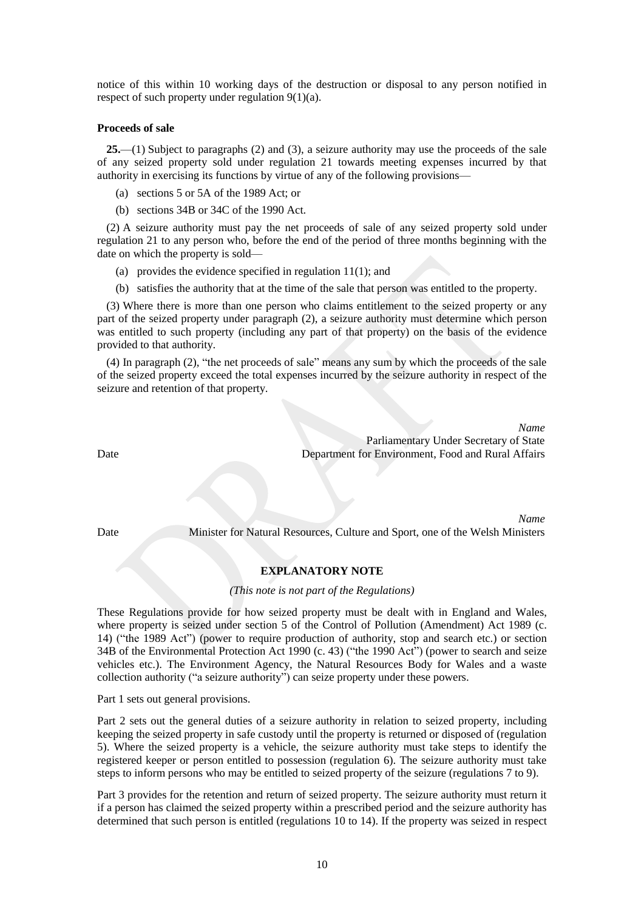notice of this within 10 working days of the destruction or disposal to any person notified in respect of such property under regulation 9(1)(a).

#### <span id="page-9-0"></span>**Proceeds of sale**

**25.**—(1) Subject to paragraphs (2) and (3), a seizure authority may use the proceeds of the sale of any seized property sold under regulation 21 towards meeting expenses incurred by that authority in exercising its functions by virtue of any of the following provisions—

- (a) sections 5 or 5A of the 1989 Act; or
- (b) sections 34B or 34C of the 1990 Act.

(2) A seizure authority must pay the net proceeds of sale of any seized property sold under regulation 21 to any person who, before the end of the period of three months beginning with the date on which the property is sold—

- (a) provides the evidence specified in regulation 11(1); and
- (b) satisfies the authority that at the time of the sale that person was entitled to the property.

(3) Where there is more than one person who claims entitlement to the seized property or any part of the seized property under paragraph (2), a seizure authority must determine which person was entitled to such property (including any part of that property) on the basis of the evidence provided to that authority.

(4) In paragraph (2), "the net proceeds of sale" means any sum by which the proceeds of the sale of the seized property exceed the total expenses incurred by the seizure authority in respect of the seizure and retention of that property.

*Name* Parliamentary Under Secretary of State Department for Environment, Food and Rural Affairs

*Name* Date Minister for Natural Resources, Culture and Sport, one of the Welsh Ministers

### **EXPLANATORY NOTE**

#### *(This note is not part of the Regulations)*

These Regulations provide for how seized property must be dealt with in England and Wales, where property is seized under section 5 of the Control of Pollution (Amendment) Act 1989 (c. 14) ("the 1989 Act") (power to require production of authority, stop and search etc.) or section 34B of the Environmental Protection Act 1990 (c. 43) ("the 1990 Act") (power to search and seize vehicles etc.). The Environment Agency, the Natural Resources Body for Wales and a waste collection authority ("a seizure authority") can seize property under these powers.

Part 1 sets out general provisions.

Part 2 sets out the general duties of a seizure authority in relation to seized property, including keeping the seized property in safe custody until the property is returned or disposed of (regulation 5). Where the seized property is a vehicle, the seizure authority must take steps to identify the registered keeper or person entitled to possession (regulation 6). The seizure authority must take steps to inform persons who may be entitled to seized property of the seizure (regulations 7 to 9).

Part 3 provides for the retention and return of seized property. The seizure authority must return it if a person has claimed the seized property within a prescribed period and the seizure authority has determined that such person is entitled (regulations 10 to 14). If the property was seized in respect